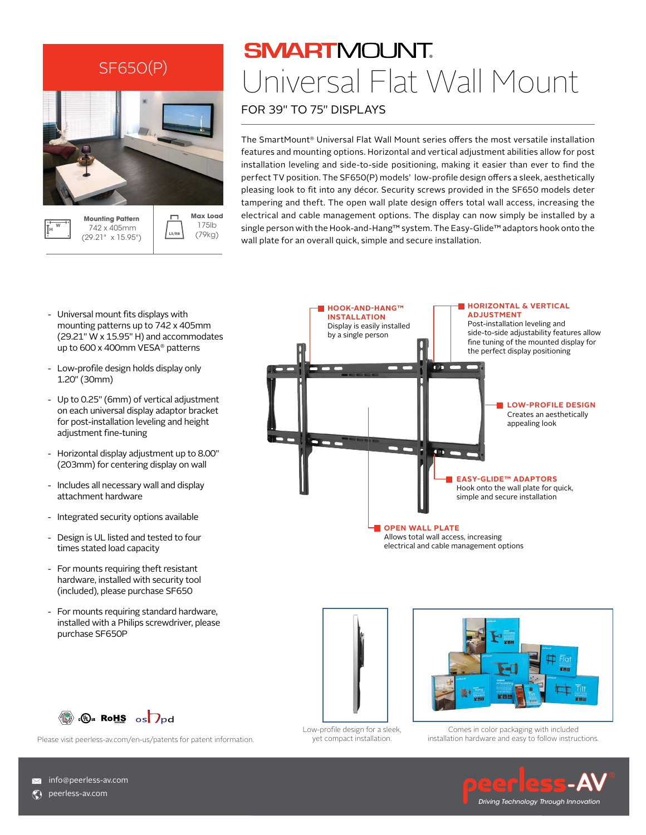

**SMARTMOUNT** Universal Flat Wall Mount

FOR 39" TO 75" DISPLAYS

The SmartMount® Universal Flat Wall Mount series offers the most versatile installation features and mounting options. Horizontal and vertical adjustment abilities allow for post installation leveling and side-to-side positioning, making it easier than ever to find the perfect TV position. The SF650(P) models' low-profile design offers a sleek, aesthetically pleasing look to fit into any décor. Security screws provided in the SF650 models deter tampering and theft. The open wall plate design offers total wall access, increasing the electrical and cable management options. The display can now simply be installed by a single person with the Hook-and-Hang™ system. The Easy-Glide™ adaptors hook onto the wall plate for an overall quick, simple and secure installation.

- Universal mount fits displays with mounting patterns up to 742 x 405mm (29.21" W x 15.95" H) and accommodates up to 600 x 400mm VESA® patterns
- Low-profile design holds display only 1.20" (30mm)

(29.21" x 15.95")

- Up to 0.25" (6mm) of vertical adjustment on each universal display adaptor bracket for post-installation leveling and height adjustment fine-tuning
- Horizontal display adjustment up to 8.00" (203mm) for centering display on wall
- Includes all necessary wall and display attachment hardware
- Integrated security options available
- Design is UL listed and tested to four times stated load capacity
- For mounts requiring theft resistant hardware, installed with security tool (included), please purchase SF650
- For mounts requiring standard hardware, installed with a Philips screwdriver, please purchase SF650P





yet compact installation.



Comes in color packaging with included installation hardware and easy to follow instructions.

*Driving Technology Through Innovation*



Please visit peerless-av.com/en-us/patents for patent information.

**X** info@peerless-av.com

**C**) peerless-av.com